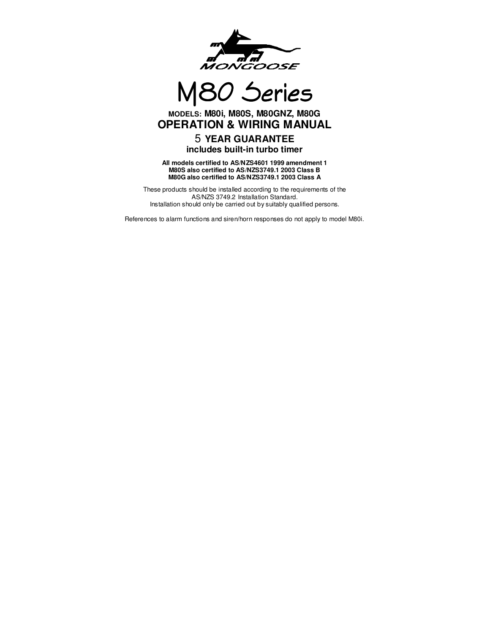

M80 Series

# **MODELS: M80i, M80S, M80GNZ, M80G OPERATION & WIRING MANUAL**

# 5 **YEAR GUARANTEE includes built-in turbo timer**

 **All models certified to AS/NZS4601 1999 amendment 1 M80S also certified to AS/NZS3749.1 2003 Class B M80G also certified to AS/NZS3749.1 2003 Class A** 

These products should be installed according to the requirements of the AS/NZS 3749.2 Installation Standard. Installation should only be carried out by suitably qualified persons.

References to alarm functions and siren/horn responses do not apply to model M80i.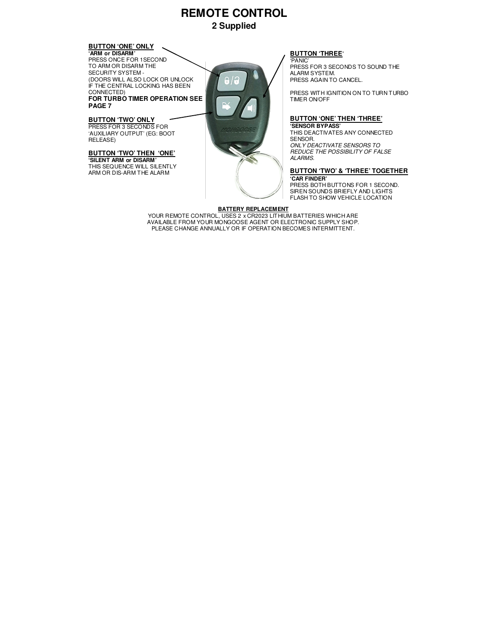# **REMOTE CONTROL 2 Supplied**

# **BUTTON 'ONE' ONLY**

**'ARM or DISARM'**  PRESS ONCE FOR 1SECOND TO ARM OR DISARM THE SECURITY SYSTEM - (DOORS WILL ALSO LOCK OR UNLOCK IF THE CENTRAL LOCKING HAS BEEN CONNECTED)

**FOR TURBO TIMER OPERATION SEE PAGE 7** 

#### **BUTTON 'TWO' ONLY** PRESS FOR 3 SECONDS FOR 'AUXILIARY OUTPUT' (EG: BOOT

RELEASE)

#### **BUTTON 'TWO' THEN 'ONE' 'SILENT ARM or DISARM'**

THIS SEQUENCE WILL SILENTLY ARM OR DIS-ARM THE ALARM



# **BUTTON 'THREE'**

'PANIC' PRESS FOR 3 SECONDS TO SOUND THE ALARM SYSTEM. PRESS AGAIN TO CANCEL.

PRESS WITH IGNITION ON TO TURN TURBO TIMER ON/OFF

#### **BUTTON 'ONE' THEN 'THREE'**

**'SENSOR BYPASS'**  THIS DEACTIVATES ANY CONNECTED SENSOR. ONLY DEACTIVATE SENSORS TO REDUCE THE POSSIBILITY OF FALSE ALARMS.

#### **BUTTON 'TWO' & 'THREE' TOGETHER 'CAR FINDER'**

PRESS BOTH BUTTONS FOR 1 SECOND. SIREN SOUNDS BRIEFLY AND LIGHTS FLASH TO SHOW VEHICLE LOCATION

**BATTERY REPLACEMENT<br>YOUR REMOTE CONTROL, USES 2 x CR2023 LITHIUM BATTERIES WHICH ARE** AVAILABLE FROM YOUR MONGOOSE AGENT OR ELECTRONIC SUPPLY SHOP. PLEASE CHANGE ANNUALLY OR IF OPERATION BECOMES INTERMITTENT.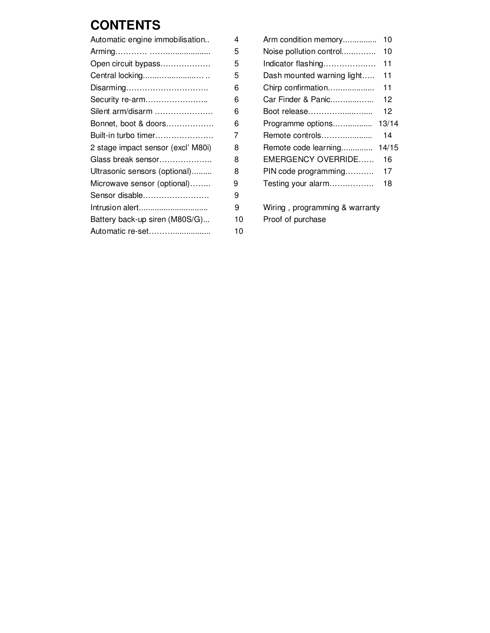# **CONTENTS**

| Automatic engine immobilisation    | 4  | Arm condition memory<br>10       |
|------------------------------------|----|----------------------------------|
|                                    | 5  | Noise pollution control<br>10    |
| Open circuit bypass                | 5  | Indicator flashing<br>11         |
| Central locking                    | 5  | Dash mounted warning light<br>11 |
| Disarming                          | 6  | Chirp confirmation<br>11         |
| Security re-arm                    | 6  | Car Finder & Panic<br>12         |
| Silent arm/disarm                  | 6  | Boot release<br>12               |
| Bonnet, boot & doors               | 6  | Programme options<br>13/1        |
| Built-in turbo timer               | 7  | Remote controls<br>14            |
| 2 stage impact sensor (excl' M80i) | 8  | Remote code learning<br>14/1     |
| Glass break sensor                 | 8  | EMERGENCY OVERRIDE<br>16         |
| Ultrasonic sensors (optional)      | 8  | PIN code programming<br>17       |
| Microwave sensor (optional)        | 9  | Testing your alarm<br>18         |
| Sensor disable                     | 9  |                                  |
| Intrusion alert                    | 9  | Wiring, programming & warranty   |
| Battery back-up siren (M80S/G)     | 10 | Proof of purchase                |
|                                    | 10 |                                  |
|                                    |    |                                  |

| Automatic engine immobilisation    | 4 |                                  |
|------------------------------------|---|----------------------------------|
|                                    | 5 |                                  |
| Open circuit bypass                | 5 | Indicator flashing<br>11         |
| Central locking                    | 5 | Dash mounted warning light<br>11 |
| Disarming                          | 6 | Chirp confirmation<br>11         |
| Security re-arm                    | 6 | Car Finder & Panic<br>12         |
| Silent arm/disarm                  | 6 | Boot release<br>12               |
| Bonnet, boot & doors               | 6 |                                  |
| Built-in turbo timer               | 7 | Remote controls<br>14            |
| 2 stage impact sensor (excl' M80i) | 8 | Remote code learning 14/15       |
| Glass break sensor                 | 8 | EMERGENCY OVERRIDE<br>16         |
| Ultrasonic sensors (optional)      | 8 | PIN code programming<br>17       |
| Microwave sensor (optional)        | 9 | Testing your alarm<br>18         |
| Sensor disable                     | 9 |                                  |
| Intrusion alert                    | 9 | Wiring, programming & warranty   |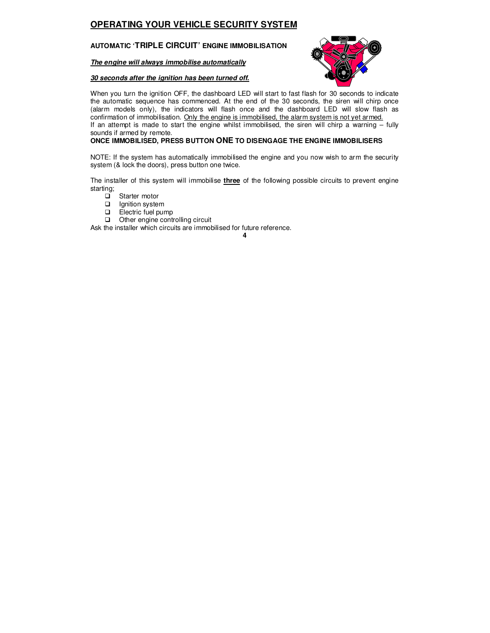# **OPERATING YOUR VEHICLE SECURITY SYSTEM**

#### **AUTOMATIC 'TRIPLE CIRCUIT' ENGINE IMMOBILISATION**

**The engine will always immobilise automatically** 

#### **30 seconds after the ignition has been turned off.**



When you turn the ignition OFF, the dashboard LED will start to fast flash for 30 seconds to indicate the automatic sequence has commenced. At the end of the 30 seconds, the siren will chirp once (alarm models only), the indicators will flash once and the dashboard LED will slow flash as confirmation of immobilisation. Only the engine is immobilised, the alarm system is not yet armed. If an attempt is made to start the engine whilst immobilised, the siren will chirp a warning – fully sounds if armed by remote.

#### **ONCE IMMOBILISED, PRESS BUTTON ONE TO DISENGAGE THE ENGINE IMMOBILISERS**

NOTE: If the system has automatically immobilised the engine and you now wish to arm the security system (& lock the doors), press button one twice.

The installer of this system will immobilise **three** of the following possible circuits to prevent engine starting;

- □ Starter motor
- $\Box$  Ignition system
- Electric fuel pump
- Other engine controlling circuit

Ask the installer which circuits are immobilised for future reference.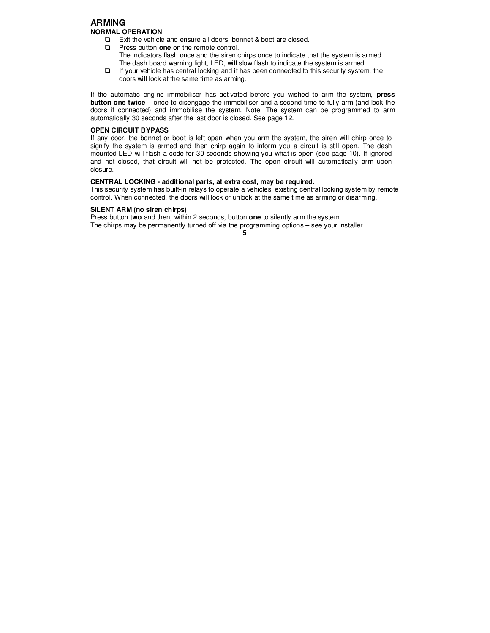#### **ARMING NORMAL OPERATION**

- □ Exit the vehicle and ensure all doors, bonnet & boot are closed.
- **Press button one on the remote control.**
- The indicators flash once and the siren chirps once to indicate that the system is armed. The dash board warning light, LED, will slow flash to indicate the system is armed.
- $\Box$  If your vehicle has central locking and it has been connected to this security system, the doors will lock at the same time as arming.

If the automatic engine immobiliser has activated before you wished to arm the system, **press button one twice** – once to disengage the immobiliser and a second time to fully arm (and lock the doors if connected) and immobilise the system. Note: The system can be programmed to arm automatically 30 seconds after the last door is closed. See page 12.

#### **OPEN CIRCUIT BYPASS**

If any door, the bonnet or boot is left open when you arm the system, the siren will chirp once to signify the system is armed and then chirp again to inform you a circuit is still open. The dash mounted LED will flash a code for 30 seconds showing you what is open (see page 10). If ignored and not closed, that circuit will not be protected. The open circuit will automatically arm upon closure.

#### **CENTRAL LOCKING - additional parts, at extra cost, may be required.**

This security system has built-in relays to operate a vehicles' existing central locking system by remote control. When connected, the doors will lock or unlock at the same time as arming or disarming.

#### **SILENT ARM (no siren chirps)**

Press button **two** and then, within 2 seconds, button **one** to silently arm the system. The chirps may be permanently turned off via the programming options – see your installer.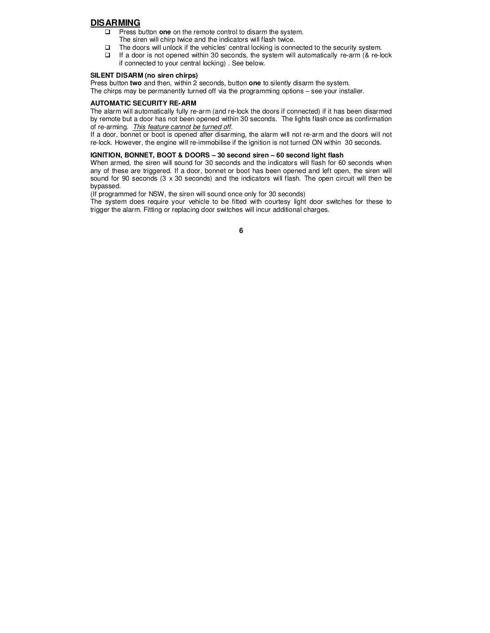#### **DISARMING**

- **Press button one** on the remote control to disarm the system.
- The siren will chirp twice and the indicators will flash twice.
- The doors will unlock if the vehicles' central locking is connected to the security system.
- $\Box$  If a door is not opened within 30 seconds, the system will automatically re-arm (& re-lock if connected to your central locking) . See below.

#### **SILENT DISARM (no siren chirps)**

Press button **two** and then, within 2 seconds, button **one** to silently disarm the system. The chirps may be permanently turned off via the programming options – see your installer.

#### **AUTOMATIC SECURITY RE-ARM**

The alarm will automatically fully re-arm (and re-lock the doors if connected) if it has been disarmed by remote but a door has not been opened within 30 seconds. The lights flash once as confirmation of re-arming. This feature cannot be turned off.

If a door, bonnet or boot is opened after disarming, the alarm will not re-arm and the doors will not re-lock. However, the engine will re-immobilise if the ignition is not turned ON within 30 seconds.

#### **IGNITION, BONNET, BOOT & DOORS – 30 second siren – 60 second light flash**

When armed, the siren will sound for 30 seconds and the indicators will flash for 60 seconds when any of these are triggered. If a door, bonnet or boot has been opened and left open, the siren will sound for 90 seconds (3 x 30 seconds) and the indicators will flash. The open circuit will then be bypassed.

(If programmed for NSW, the siren will sound once only for 30 seconds)

The system does require your vehicle to be fitted with courtesy light door switches for these to trigger the alarm. Fitting or replacing door switches will incur additional charges.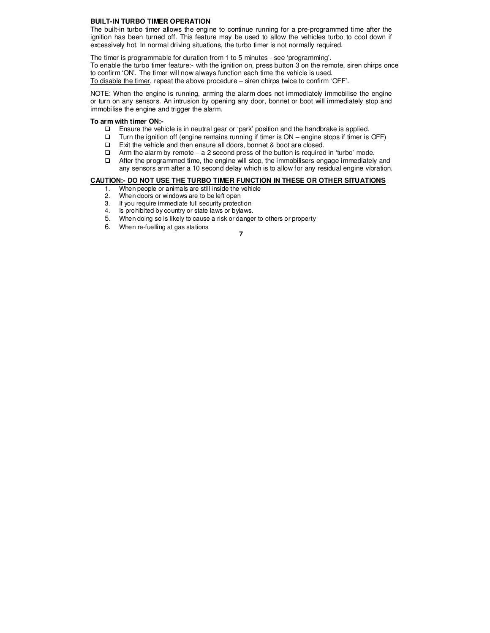#### **BUILT-IN TURBO TIMER OPERATION**

The built-in turbo timer allows the engine to continue running for a pre-programmed time after the ignition has been turned off. This feature may be used to allow the vehicles turbo to cool down if excessively hot. In normal driving situations, the turbo timer is not normally required.

The timer is programmable for duration from 1 to 5 minutes - see 'programming'.

To enable the turbo timer feature:- with the ignition on, press button 3 on the remote, siren chirps once to confirm 'ON'. The timer will now always function each time the vehicle is used. To disable the timer, repeat the above procedure – siren chirps twice to confirm 'OFF'.

NOTE: When the engine is running, arming the alarm does not immediately immobilise the engine or turn on any sensors. An intrusion by opening any door, bonnet or boot will immediately stop and immobilise the engine and trigger the alarm.

#### **To arm with timer ON:-**

- $\Box$  Ensure the vehicle is in neutral gear or 'park' position and the handbrake is applied.
- $\Box$  Turn the ignition off (engine remains running if timer is ON engine stops if timer is OFF)
- Exit the vehicle and then ensure all doors, bonnet & boot are closed.
- $\Box$  Arm the alarm by remote a 2 second press of the button is required in 'turbo' mode.
- $\Box$  After the programmed time, the engine will stop, the immobilisers engage immediately and any sensors arm after a 10 second delay which is to allow for any residual engine vibration.

#### **CAUTION:- DO NOT USE THE TURBO TIMER FUNCTION IN THESE OR OTHER SITUATIONS**

- 1. When people or animals are still inside the vehicle<br>2. When doors or windows are to be left open
- When doors or windows are to be left open
- 3. If you require immediate full security protection
- 4. Is prohibited by country or state laws or bylaws.
- 5. When doing so is likely to cause a risk or danger to others or property
- 6. When re-fuelling at gas stations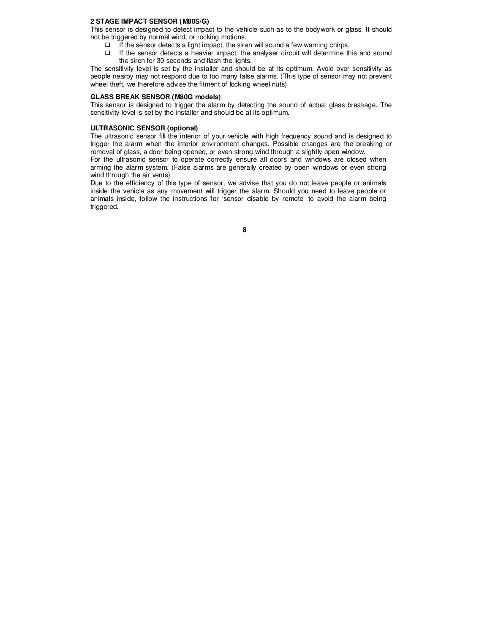#### **2 STAGE IMPACT SENSOR (M80S/G)**

This sensor is designed to detect impact to the vehicle such as to the bodywork or glass. It should not be triggered by normal wind, or rocking motions.

- $\Box$  If the sensor detects a light impact, the siren will sound a few warning chirps.
- If the sensor detects a heavier impact, the analyser circuit will determine this and sound the siren for 30 seconds and flash the lights.

The sensitivity level is set by the installer and should be at its optimum. Avoid over sensitivity as people nearby may not respond due to too many false alarms. (This type of sensor may not prevent wheel theft, we therefore advise the fitment of locking wheel nuts)

#### **GLASS BREAK SENSOR (M80G models)**

This sensor is designed to trigger the alarm by detecting the sound of actual glass breakage. The sensitivity level is set by the installer and should be at its optimum.

#### **ULTRASONIC SENSOR (optional)**

The ultrasonic sensor fill the interior of your vehicle with high frequency sound and is designed to trigger the alarm when the interior environment changes. Possible changes are the breaking or removal of glass, a door being opened, or even strong wind through a slightly open window.

For the ultrasonic sensor to operate correctly ensure all doors and windows are closed when arming the alarm system. (False alarms are generally created by open windows or even strong wind through the air vents)

Due to the efficiency of this type of sensor, we advise that you do not leave people or animals inside the vehicle as any movement will trigger the alarm. Should you need to leave people or animals inside, follow the instructions for 'sensor disable by remote' to avoid the alarm being triggered.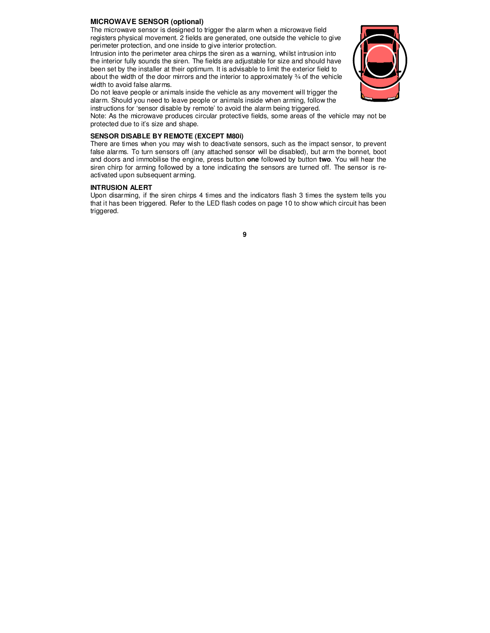#### **MICROWAVE SENSOR (optional)**

The microwave sensor is designed to trigger the alarm when a microwave field registers physical movement. 2 fields are generated, one outside the vehicle to give perimeter protection, and one inside to give interior protection.

Intrusion into the perimeter area chirps the siren as a warning, whilst intrusion into the interior fully sounds the siren. The fields are adjustable for size and should have been set by the installer at their optimum. It is advisable to limit the exterior field to about the width of the door mirrors and the interior to approximately ¾ of the vehicle width to avoid false alarms.

Do not leave people or animals inside the vehicle as any movement will trigger the alarm. Should you need to leave people or animals inside when arming, follow the instructions for 'sensor disable by remote' to avoid the alarm being triggered.



Note: As the microwave produces circular protective fields, some areas of the vehicle may not be protected due to it's size and shape.

#### **SENSOR DISABLE BY REMOTE (EXCEPT M80i)**

There are times when you may wish to deactivate sensors, such as the impact sensor, to prevent false alarms. To turn sensors off (any attached sensor will be disabled), but arm the bonnet, boot and doors and immobilise the engine, press button **one** followed by button **two**. You will hear the siren chirp for arming followed by a tone indicating the sensors are turned off. The sensor is reactivated upon subsequent arming.

#### **INTRUSION ALERT**

Upon disarming, if the siren chirps 4 times and the indicators flash 3 times the system tells you that it has been triggered. Refer to the LED flash codes on page 10 to show which circuit has been triggered.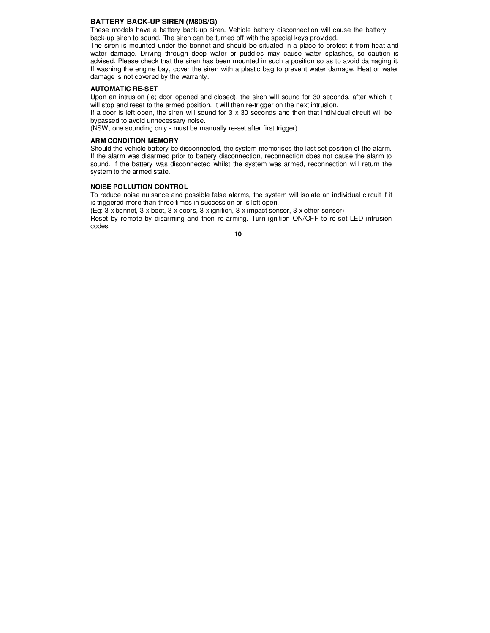#### **BATTERY BACK-UP SIREN (M80S/G)**

These models have a battery back-up siren. Vehicle battery disconnection will cause the battery back-up siren to sound. The siren can be turned off with the special keys provided.

The siren is mounted under the bonnet and should be situated in a place to protect it from heat and water damage. Driving through deep water or puddles may cause water splashes, so caution is advised. Please check that the siren has been mounted in such a position so as to avoid damaging it. If washing the engine bay, cover the siren with a plastic bag to prevent water damage. Heat or water damage is not covered by the warranty.

#### **AUTOMATIC RE-SET**

Upon an intrusion (ie; door opened and closed), the siren will sound for 30 seconds, after which it will stop and reset to the armed position. It will then re-trigger on the next intrusion.

If a door is left open, the siren will sound for 3 x 30 seconds and then that individual circuit will be bypassed to avoid unnecessary noise.

(NSW, one sounding only - must be manually re-set after first trigger)

#### **ARM CONDITION MEMORY**

Should the vehicle battery be disconnected, the system memorises the last set position of the alarm. If the alarm was disarmed prior to battery disconnection, reconnection does not cause the alarm to sound. If the battery was disconnected whilst the system was armed, reconnection will return the system to the armed state.

#### **NOISE POLLUTION CONTROL**

To reduce noise nuisance and possible false alarms, the system will isolate an individual circuit if it is triggered more than three times in succession or is left open.

(Eg: 3 x bonnet, 3 x boot, 3 x doors, 3 x ignition, 3 x impact sensor, 3 x other sensor)

Reset by remote by disarming and then re-arming. Turn ignition ON/OFF to re-set LED intrusion codes.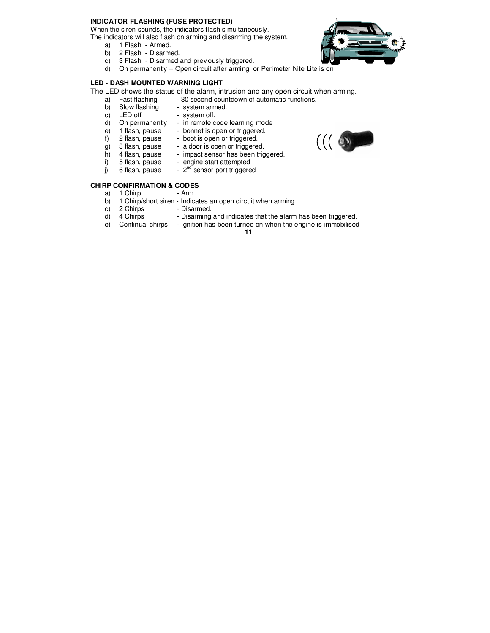#### **INDICATOR FLASHING (FUSE PROTECTED)**

When the siren sounds, the indicators flash simultaneously.

The indicators will also flash on arming and disarming the system.

- a) 1 Flash Armed.
- b) 2 Flash Disarmed.
- c) 3 Flash Disarmed and previously triggered.
- d) On permanently Open circuit after arming, or Perimeter Nite Lite is on

#### **LED - DASH MOUNTED WARNING LIGHT**

The LED shows the status of the alarm, intrusion and any open circuit when arming.<br>a) Fast flashing - 30 second countdown of automatic functions.

- 30 second countdown of automatic functions.
- b) Slow flashing system armed.
	-
- c) LED off system off.<br>d) On permanently in remote c On permanently - in remote code learning mode<br>1 flash, pause - bonnet is open or triggered.
- e) 1 flash, pause bonnet is open or triggered.
- F) 1 hasn, pause boot is open or triggered.<br>
g) 3 flash, pause a door is open or triggered.
- g) 3 flash, pause a door is open or triggered.<br>h) 4 flash, pause impact sensor has been trig
	-
- h) 4 flash, pause impact sensor has been triggered.<br>i) 5 flash, pause engine start attempted
- i) 5 flash, pause engine start attempted<br>i) 6 flash, pause  $2^{nd}$  sensor port triggere  $j$  6 flash, pause -  $2^{nd}$  sensor port triggered

### **CHIRP CONFIRMATION & CODES**

- a) 1 Chirp Arm.
- b) 1 Chirp/short siren Indicates an open circuit when arming.
- c) 2 Chirps Disarmed.
- d) 4 Chirps Disarming and indicates that the alarm has been triggered.
- e) Continual chirps Ignition has been turned on when the engine is immobilised
	- **11**



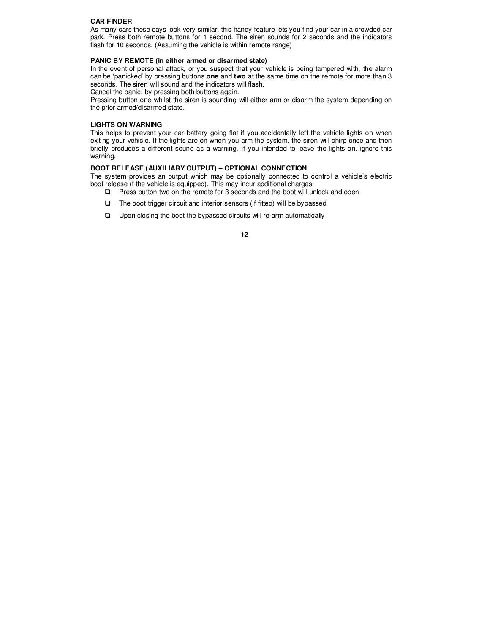#### **CAR FINDER**

As many cars these days look very similar, this handy feature lets you find your car in a crowded car park. Press both remote buttons for 1 second. The siren sounds for 2 seconds and the indicators flash for 10 seconds. (Assuming the vehicle is within remote range)

#### **PANIC BY REMOTE (in either armed or disarmed state)**

In the event of personal attack, or you suspect that your vehicle is being tampered with, the alarm can be 'panicked' by pressing buttons **one** and **two** at the same time on the remote for more than 3 seconds. The siren will sound and the indicators will flash.

Cancel the panic, by pressing both buttons again.

Pressing button one whilst the siren is sounding will either arm or disarm the system depending on the prior armed/disarmed state.

#### **LIGHTS ON WARNING**

This helps to prevent your car battery going flat if you accidentally left the vehicle lights on when exiting your vehicle. If the lights are on when you arm the system, the siren will chirp once and then briefly produces a different sound as a warning. If you intended to leave the lights on, ignore this warning.

#### **BOOT RELEASE (AUXILIARY OUTPUT) – OPTIONAL CONNECTION**

The system provides an output which may be optionally connected to control a vehicle's electric boot release (f the vehicle is equipped). This may incur additional charges.

- $\Box$  Press button two on the remote for 3 seconds and the boot will unlock and open
- $\Box$  The boot trigger circuit and interior sensors (if fitted) will be bypassed
- $\square$  Upon closing the boot the bypassed circuits will re-arm automatically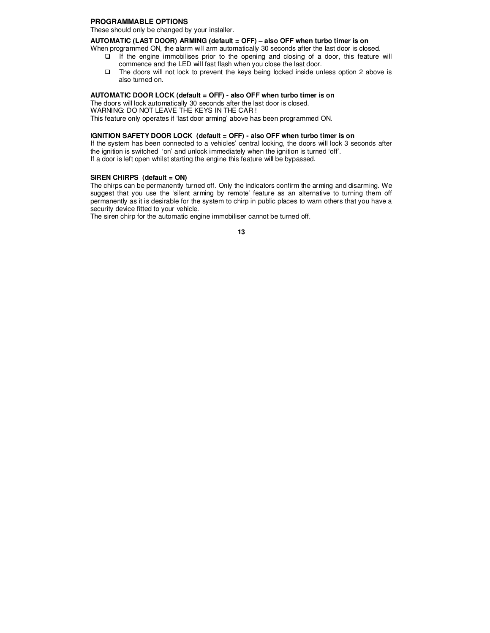#### **PROGRAMMABLE OPTIONS**

These should only be changed by your installer.

#### **AUTOMATIC (LAST DOOR) ARMING (default = OFF) – also OFF when turbo timer is on**

When programmed ON, the alarm will arm automatically 30 seconds after the last door is closed.

- $\Box$  If the engine immobilises prior to the opening and closing of a door, this feature will commence and the LED will fast flash when you close the last door.
- $\Box$  The doors will not lock to prevent the keys being locked inside unless option 2 above is also turned on.

#### **AUTOMATIC DOOR LOCK (default = OFF) - also OFF when turbo timer is on**

The doors will lock automatically 30 seconds after the last door is closed. WARNING: DO NOT LEAVE THE KEYS IN THE CAR ! This feature only operates if 'last door arming' above has been programmed ON.

#### **IGNITION SAFETY DOOR LOCK (default = OFF) - also OFF when turbo timer is on**

If the system has been connected to a vehicles' central locking, the doors will lock 3 seconds after the ignition is switched 'on' and unlock immediately when the ignition is turned 'off'. If a door is left open whilst starting the engine this feature will be bypassed.

#### **SIREN CHIRPS (default = ON)**

The chirps can be permanently turned off. Only the indicators confirm the arming and disarming. We suggest that you use the 'silent arming by remote' feature as an alternative to turning them off permanently as it is desirable for the system to chirp in public places to warn others that you have a security device fitted to your vehicle.

The siren chirp for the automatic engine immobiliser cannot be turned off.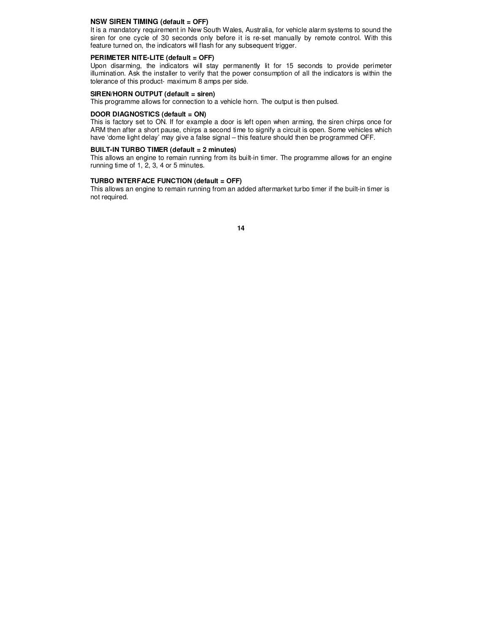#### **NSW SIREN TIMING (default = OFF)**

It is a mandatory requirement in New South Wales, Australia, for vehicle alarm systems to sound the siren for one cycle of 30 seconds only before it is re-set manually by remote control. With this feature turned on, the indicators will flash for any subsequent trigger.

#### **PERIMETER NITE-LITE (default = OFF)**

Upon disarming, the indicators will stay permanently lit for 15 seconds to provide perimeter illumination. Ask the installer to verify that the power consumption of all the indicators is within the tolerance of this product- maximum 8 amps per side.

#### **SIREN/HORN OUTPUT (default = siren)**

This programme allows for connection to a vehicle horn. The output is then pulsed.

#### **DOOR DIAGNOSTICS (default = ON)**

This is factory set to ON. If for example a door is left open when arming, the siren chirps once for ARM then after a short pause, chirps a second time to signify a circuit is open. Some vehicles which have 'dome light delay' may give a false signal – this feature should then be programmed OFF.

# **BUILT-IN TURBO TIMER (default = 2 minutes)**

This allows an engine to remain running from its built-in timer. The programme allows for an engine running time of 1, 2, 3, 4 or 5 minutes.

#### **TURBO INTERFACE FUNCTION (default = OFF)**

This allows an engine to remain running from an added aftermarket turbo timer if the built-in timer is not required.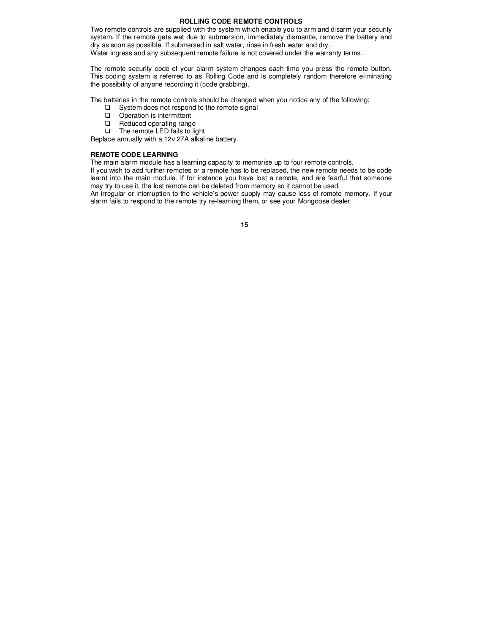#### **ROLLING CODE REMOTE CONTROLS**

Two remote controls are supplied with the system which enable you to arm and disarm your security system. If the remote gets wet due to submersion, immediately dismantle, remove the battery and dry as soon as possible. If submersed in salt water, rinse in fresh water and dry. Water ingress and any subsequent remote failure is not covered under the warranty terms.

The remote security code of your alarm system changes each time you press the remote button. This coding system is referred to as Rolling Code and is completely random therefore eliminating the possibility of anyone recording it (code grabbing).

The batteries in the remote controls should be changed when you notice any of the following;

- $\square$  System does not respond to the remote signal
- Operation is intermittent
- Reduced operating range
- The remote LED fails to light

Replace annually with a 12v 27A alkaline battery.

#### **REMOTE CODE LEARNING**

The main alarm module has a learning capacity to memorise up to four remote controls.

If you wish to add further remotes or a remote has to be replaced, the new remote needs to be code learnt into the main module. If for instance you have lost a remote, and are fearful that someone may try to use it, the lost remote can be deleted from memory so it cannot be used.

An irregular or interruption to the vehicle's power supply may cause loss of remote memory. If your alarm fails to respond to the remote try re-learning them, or see your Mongoose dealer.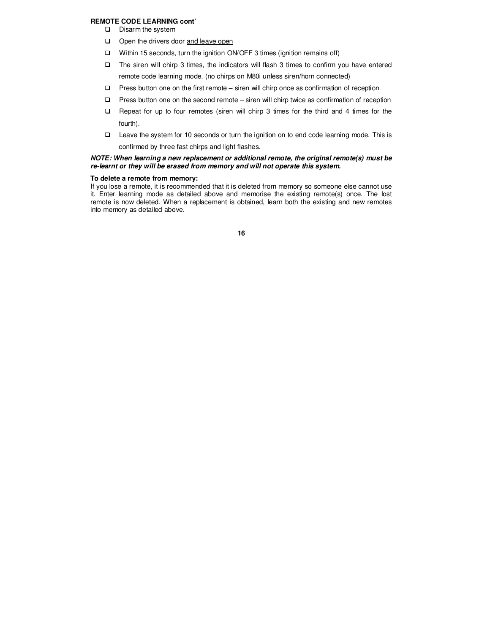#### **REMOTE CODE LEARNING cont'**

- $\square$  Disarm the system
- Open the drivers door and leave open
- □ Within 15 seconds, turn the ignition ON/OFF 3 times (ignition remains off)
- The siren will chirp 3 times, the indicators will flash 3 times to confirm you have entered remote code learning mode. (no chirps on M80i unless siren/horn connected)
- $\square$  Press button one on the first remote siren will chirp once as confirmation of reception
- □ Press button one on the second remote siren will chirp twice as confirmation of reception
- $\Box$  Repeat for up to four remotes (siren will chirp 3 times for the third and 4 times for the fourth).
- Leave the system for 10 seconds or turn the ignition on to end code learning mode. This is confirmed by three fast chirps and light flashes.

#### **NOTE: When learning a new replacement or additional remote, the original remote(s) must be re-learnt or they will be erased from memory and will not operate this system.**

#### **To delete a remote from memory:**

If you lose a remote, it is recommended that it is deleted from memory so someone else cannot use it. Enter learning mode as detailed above and memorise the existing remote(s) once. The lost remote is now deleted. When a replacement is obtained, learn both the existing and new remotes into memory as detailed above.

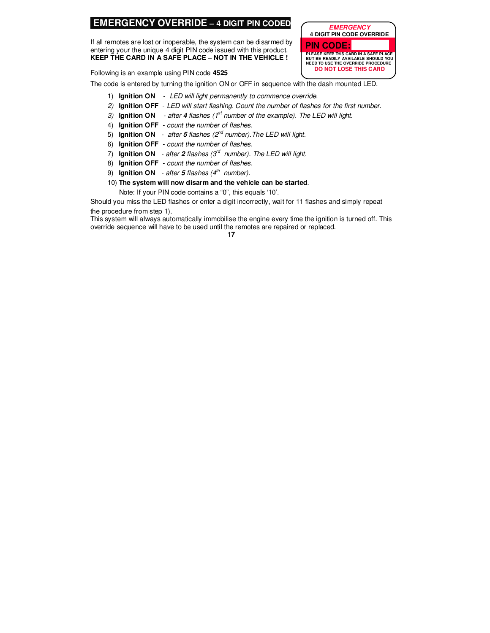# **EMERGENCY OVERRIDE – 4 DIGIT PIN CODED**

If all remotes are lost or inoperable, the system can be disarmed by entering your the unique 4 digit PIN code issued with this product. **KEEP THE CARD IN A SAFE PLACE – NOT IN THE VEHICLE !** 

**PLEASE KEEP THIS CARD IN A SAFE PLACE BUT BE READILY AVAILABLE SHOULD YOU NEED TO USE THE OVERRIDE PROCEDURE DO NOT LOSE THIS CARD PIN CODE:**

**EMERGENCY 4 DIGIT PIN CODE OVERRIDE** 

Following is an example using PIN code **4525**

The code is entered by turning the ignition ON or OFF in sequence with the dash mounted LED.

- 1) **Ignition ON**  LED will light permanently to commence override.
- 2) **Ignition OFF**  LED will start flashing. Count the number of flashes for the first number.
- 3) **Ignition ON** after 4 flashes (1<sup>st</sup> number of the example). The LED will light.
- 4) **Ignition OFF**  count the number of flashes.
- 5) **Ignition ON** after 5 flashes (2<sup>nd</sup> number). The LED will light.
- 6) **Ignition OFF**  count the number of flashes.
- 7) **Ignition ON** after 2 flashes  $(3<sup>rd</sup>$  number). The LED will light.
- 8) **Ignition OFF**  count the number of flashes.
- 9) **Ignition ON** after  $5$  flashes ( $4<sup>th</sup>$  number).
- 10) **The system will now disarm and the vehicle can be started**. Note: If your PIN code contains a "0", this equals '10'.

Should you miss the LED flashes or enter a digit incorrectly, wait for 11 flashes and simply repeat the procedure from step 1).

This system will always automatically immobilise the engine every time the ignition is turned off. This override sequence will have to be used until the remotes are repaired or replaced.<br>17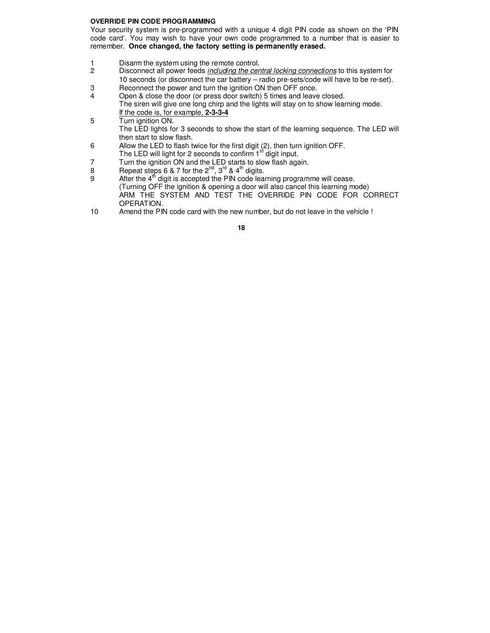#### **OVERRIDE PIN CODE PROGRAMMING**

Your security system is pre-programmed with a unique 4 digit PIN code as shown on the 'PIN code card'. You may wish to have your own code programmed to a number that is easier to remember. **Once changed, the factory setting is permanently erased.** 

- 1 Disarm the system using the remote control.<br>2 Disconnect all power feeds *including the cen*
- Disconnect all power feeds including the central locking connections to this system for 10 seconds (or disconnect the car battery – radio pre-sets/code will have to be re-set).
- 3 Reconnect the power and turn the ignition ON then OFF once.
- 4 Open & close the door (or press door switch) 5 times and leave closed. The siren will give one long chirp and the lights will stay on to show learning mode. If the code is, for example, **2-3-3-4**
- 5 Turn ignition ON. The LED lights for 3 seconds to show the start of the learning sequence. The LED will then start to slow flash.
- 6 Allow the LED to flash twice for the first digit (2), then turn ignition OFF. The LED will light for 2 seconds to confirm  $1<sup>st</sup>$  digit input.
- 7 Turn the ignition ON and the LED starts to slow flash again.
- 8 Repeat steps 6 & 7 for the  $2^{nd}$ ,  $3^{rd}$  &  $4^{th}$  digits.
- 9 After the  $4<sup>th</sup>$  digit is accepted the PIN code learning programme will cease. (Turning OFF the ignition & opening a door will also cancel this learning mode) ARM THE SYSTEM AND TEST THE OVERRIDE PIN CODE FOR CORRECT OPERATION.
- 10 Amend the PIN code card with the new number, but do not leave in the vehicle !
	- **18**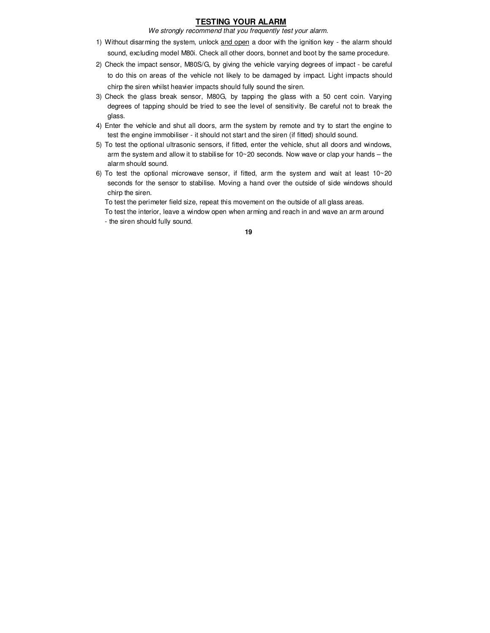# **TESTING YOUR ALARM**

We strongly recommend that you frequently test your alarm.

- 1) Without disarming the system, unlock and open a door with the ignition key the alarm should sound, excluding model M80i. Check all other doors, bonnet and boot by the same procedure.
- 2) Check the impact sensor, M80S/G, by giving the vehicle varying degrees of impact be careful to do this on areas of the vehicle not likely to be damaged by impact. Light impacts should chirp the siren whilst heavier impacts should fully sound the siren.
- 3) Check the glass break sensor, M80G, by tapping the glass with a 50 cent coin. Varying degrees of tapping should be tried to see the level of sensitivity. Be careful not to break the glass.
- 4) Enter the vehicle and shut all doors, arm the system by remote and try to start the engine to test the engine immobiliser - it should not start and the siren (if fitted) should sound.
- 5) To test the optional ultrasonic sensors, if fitted, enter the vehicle, shut all doors and windows, arm the system and allow it to stabilise for  $10~20$  seconds. Now wave or clap your hands – the alarm should sound.
- 6) To test the optional microwave sensor, if fitted, arm the system and wait at least 10~20 seconds for the sensor to stabilise. Moving a hand over the outside of side windows should chirp the siren.

To test the perimeter field size, repeat this movement on the outside of all glass areas.

To test the interior, leave a window open when arming and reach in and wave an arm around

- the siren should fully sound.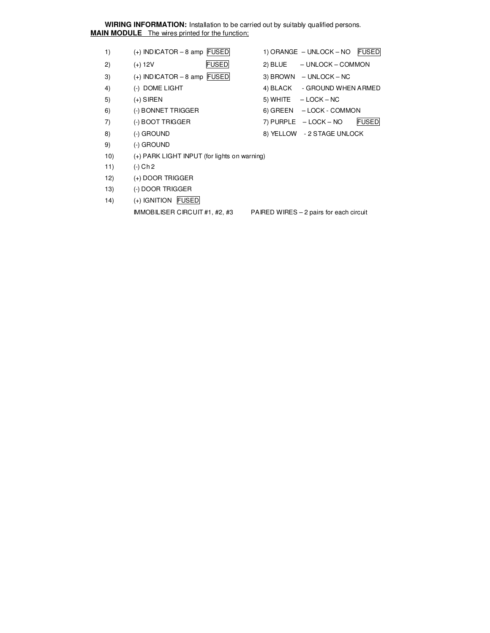**WIRING INFORMATION:** Installation to be carried out by suitably qualified persons. **MAIN MODULE** The wires printed for the function;

- 1) (+) INDICATOR 8 amp FUSED 1) ORANGE UNLOCK NO FUSED
- 2) (+) 12V FUSED 2) BLUE UNLOCK COMMON
- 3)  $(+)$  INDICATOR 8 amp FUSED 3) BROWN UNLOCK NC
- 
- 
- 6) (-) BONNET TRIGGER 6) GREEN LOCK COMMON
- 
- 
- 9) (-) GROUND
- 
- 
- 
- 4) (-) DOME LIGHT 4) BLACK GROUND WHEN ARMED
- $(+)$  SIREN 5) WHITE  $-$  LOCK NC
	-
- 7) (-) BOOT TRIGGER 7) PURPLE LOCK NO FUSED
- 8) (-) GROUND 8) YELLOW 2 STAGE UNLOCK
- 10) (+) PARK LIGHT INPUT (for lights on warning) 11) (-) Ch 2
- 
- 12) (+) DOOR TRIGGER
- 13) (-) DOOR TRIGGER
- 14) (+) IGNITION FUSED

IMMOBILISER CIRCUIT #1, #2, #3 PAIRED WIRES – 2 pairs for each circuit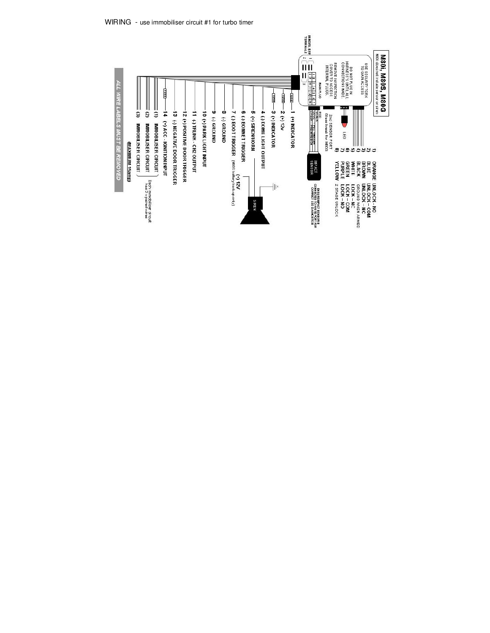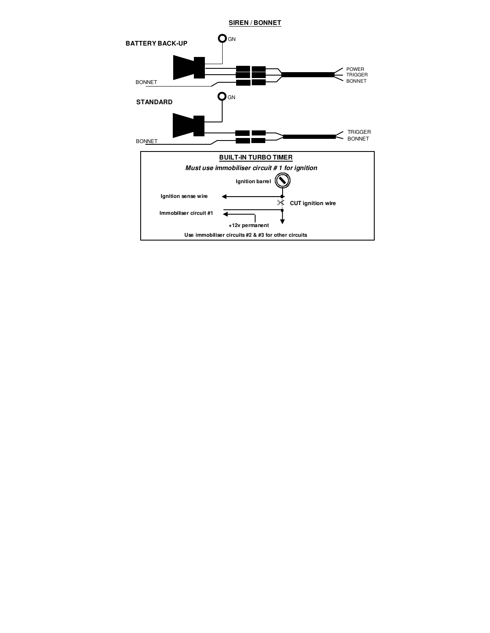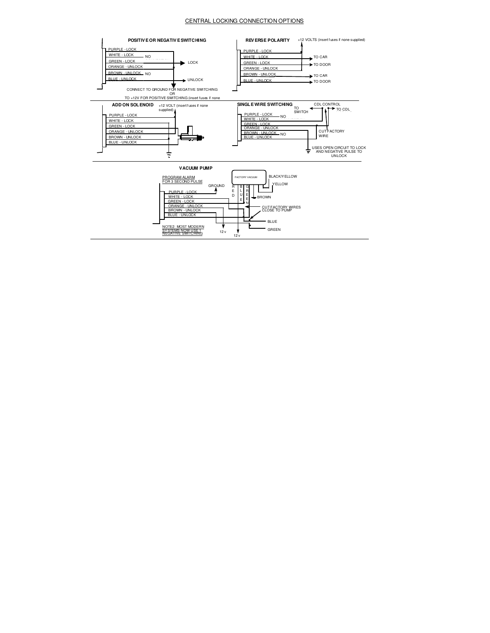#### CENTRAL LOCKING CONNECTION OPTIONS

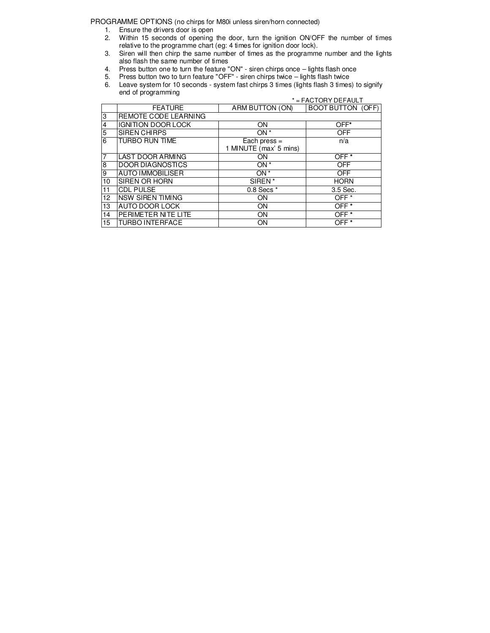PROGRAMME OPTIONS (no chirps for M80i unless siren/horn connected)

- 1. Ensure the drivers door is open
- 2. Within 15 seconds of opening the door, turn the ignition ON/OFF the number of times relative to the programme chart (eg: 4 times for ignition door lock).
- 3. Siren will then chirp the same number of times as the programme number and the lights also flash the same number of times
- 4. Press button one to turn the feature "ON" siren chirps once lights flash once
- 5. Press button two to turn feature "OFF" siren chirps twice lights flash twice
- 6. Leave system for 10 seconds system fast chirps 3 times (lights flash 3 times) to signify end of programming \* = FACTORY DEFAULT

|                         | ↑ = FACTORY DEFAULT       |                                          |                          |
|-------------------------|---------------------------|------------------------------------------|--------------------------|
|                         | <b>FEATURE</b>            | ARM BUTTON (ON)                          | <b>BOOT BUTTON (OFF)</b> |
| 3                       | REMOTE CODE LEARNING      |                                          |                          |
| $\overline{\mathbf{4}}$ | <b>IGNITION DOOR LOCK</b> | ON                                       | OFF*                     |
| $\overline{5}$          | <b>SIREN CHIRPS</b>       | ON <sup>*</sup>                          | <b>OFF</b>               |
| 6                       | TURBO RUN TIME            | Each press $=$<br>1 MINUTE (max' 5 mins) | n/a                      |
| $\overline{7}$          | <b>LAST DOOR ARMING</b>   | ON                                       | OFF <sup>*</sup>         |
| 8                       | <b>DOOR DIAGNOSTICS</b>   | ON <sup>*</sup>                          | <b>OFF</b>               |
| 9                       | <b>AUTO IMMOBILISER</b>   | ON <sup>*</sup>                          | <b>OFF</b>               |
| 10 <sup>10</sup>        | SIREN OR HORN             | $SIREN^*$                                | <b>HORN</b>              |
| 11                      | <b>CDL PULSE</b>          | 0.8 Secs *                               | 3.5 Sec.                 |
| 12                      | <b>NSW SIREN TIMING</b>   | <b>ON</b>                                | OFF <sup>*</sup>         |
| 13                      | AUTO DOOR LOCK            | ON                                       | $OFF^*$                  |
| 14                      | PERIMETER NITE LITE       | ON                                       | OFF <sup>*</sup>         |
| 15                      | <b>TURBO INTERFACE</b>    | ON                                       | OFF <sup>*</sup>         |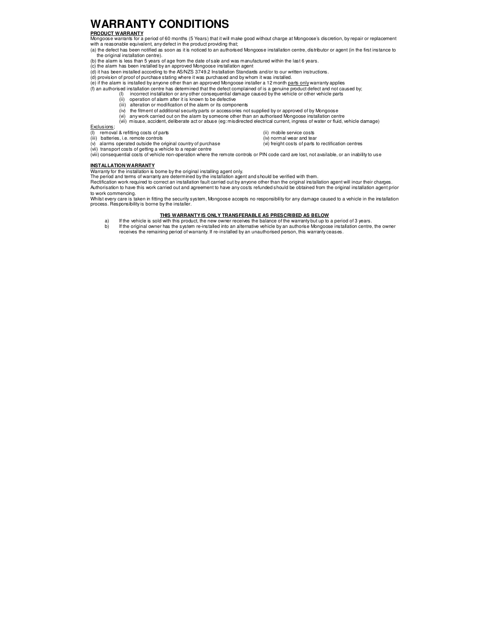# **WARRANTY CONDITIONS**

#### **PRODUCT WARRANTY**

Mongoose warrants for a period of 60 months (5 Years) that it will make good without charge at Mongoose's discretion, by repair or replacement with a reasonable equivalent, any defect in the product providing that;

- (a) the defect has been notified as soon as it is noticed to an authorised Mongoose installation centre, distributor or agent (in the first instance to the original installation centre).
- (b) the alarm is less than 5 years of age from the date of sale and was manufactured within the last 6 years. (c) the alarm has been installed by an approved Mongoose installation agent
- 
- (d) it has been installed according to the AS/NZS 3749.2 Installation Standards and/or to our written instructions.
- (d) provision of proof of purchase stating where it was purchased and by whom it was installed.<br>(e) if the alamn is installed by anyone other than an approved Mongoose installer a 12 month <u>parts only</u> warranty applies
- 
- (f) an authorised installation centre has determined that the defect complained of is a genuine product defect and not caused by;<br>(I) incorrect installation or any other consequential damage caused by the vehicle or other
	- (ii) operation of alarm after it is known to be defective
	-
	- (iii) alteration or modification of the alarm or its components (iv) the fitment of additional security parts or accessories not supplied by or approved of by Mongoose
- (vi) any work carried out on the alarm by someone other than an authorised Mongoose installation centre<br>(vii) misuse, accident, deliberate act or abuse (eg: misdirected electrical current, ingress of water or fluid, veh

Exclusions;<br>(I) remova

- removal & refitting costs of parts (ii) mobile service costs
- 
- 
- (ii) batteries, i.e. remote controls<br>(v) alarms operated outside the original country of purchase (vi) freight costs of parts to rectification centres
- 
- 
- 
- 
- 
- 
- (v) alarms operated outside the original country of purchase  $\hspace{1cm}$  (vi) freight costs of parts to rectification centres (vii) transport costs of patts of patts of parts of patts of patts of patts of patts of patts of p
- (viii) consequential costs of vehicle non-operation where the remote controls or PIN code card are lost, not available, or an inability to use

#### **INSTALLATION WARRANTY**

Warranty for the installation is bome by the original installing agent only.<br>The period and terms of warranty are determined by the installation agent and should be verified with them.<br>Rectification work required to correc to work commencing.

Whilst every care is taken in fitting the security system, Mongoose accepts no responsibility for any damage caused to a vehicle in the installation<br>process. Responsibility is borne by the installer.

#### **THIS WARRANTY IS ONLY TRANSFERABLE AS PRESCRIBED AS BELOW**

- a) If the vehicle is sold with this product, the new owner receives the balance of the warranty but up to a period of 3 years.<br>b) If the original owner has the system re-installed into an alternative vehicle by an authoris
-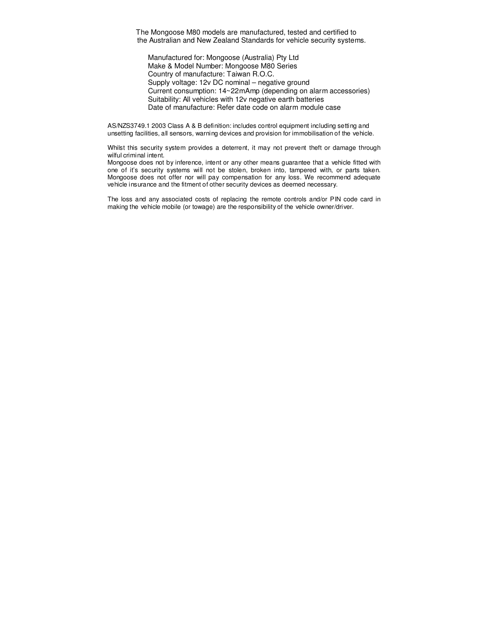The Mongoose M80 models are manufactured, tested and certified to the Australian and New Zealand Standards for vehicle security systems.

 Manufactured for: Mongoose (Australia) Pty Ltd Make & Model Number: Mongoose M80 Series Country of manufacture: Taiwan R.O.C. Supply voltage: 12v DC nominal – negative ground Current consumption: 14~22mAmp (depending on alarm accessories) Suitability: All vehicles with 12v negative earth batteries Date of manufacture: Refer date code on alarm module case

AS/NZS3749.1 2003 Class A & B definition: includes control equipment including setting and unsetting facilities, all sensors, warning devices and provision for immobilisation of the vehicle.

Whilst this security system provides a deterrent, it may not prevent theft or damage through wilful criminal intent.

Mongoose does not by inference, intent or any other means guarantee that a vehicle fitted with one of it's security systems will not be stolen, broken into, tampered with, or parts taken. Mongoose does not offer nor will pay compensation for any loss. We recommend adequate vehicle insurance and the fitment of other security devices as deemed necessary.

The loss and any associated costs of replacing the remote controls and/or PIN code card in making the vehicle mobile (or towage) are the responsibility of the vehicle owner/driver.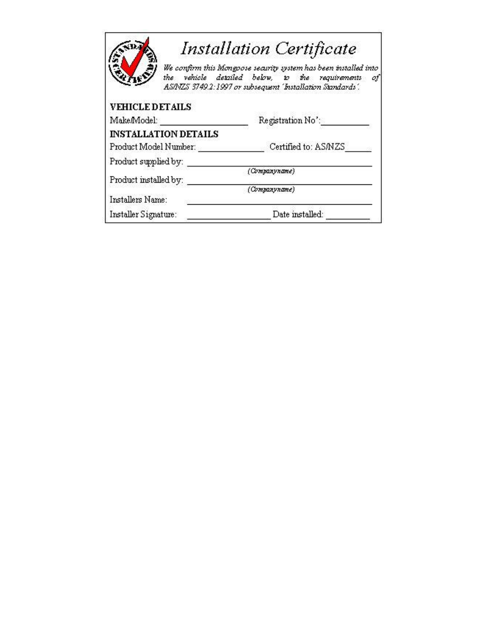|                             | <b>Installation Certificate</b><br>We confirm this Mongoose security system has been installed into                 |  |  |
|-----------------------------|---------------------------------------------------------------------------------------------------------------------|--|--|
|                             | the vehicle detailed below, to the requirements<br>οt<br>AS/NZS 3749.2:1997 or subsequent 'Installation Standards'. |  |  |
| <b>VEHICLE DETAILS</b>      |                                                                                                                     |  |  |
| Make/Model:                 | Registration No':                                                                                                   |  |  |
| <b>INSTALLATION DETAILS</b> |                                                                                                                     |  |  |
| Product Model Number:       | Certified to: AS/NZS                                                                                                |  |  |
| Product supplied by:        |                                                                                                                     |  |  |
| Product installed by:       | (Companyname)                                                                                                       |  |  |
|                             | (Companyname)                                                                                                       |  |  |
| Installers Name:            |                                                                                                                     |  |  |
| Installer Signature:        | Date installed:                                                                                                     |  |  |